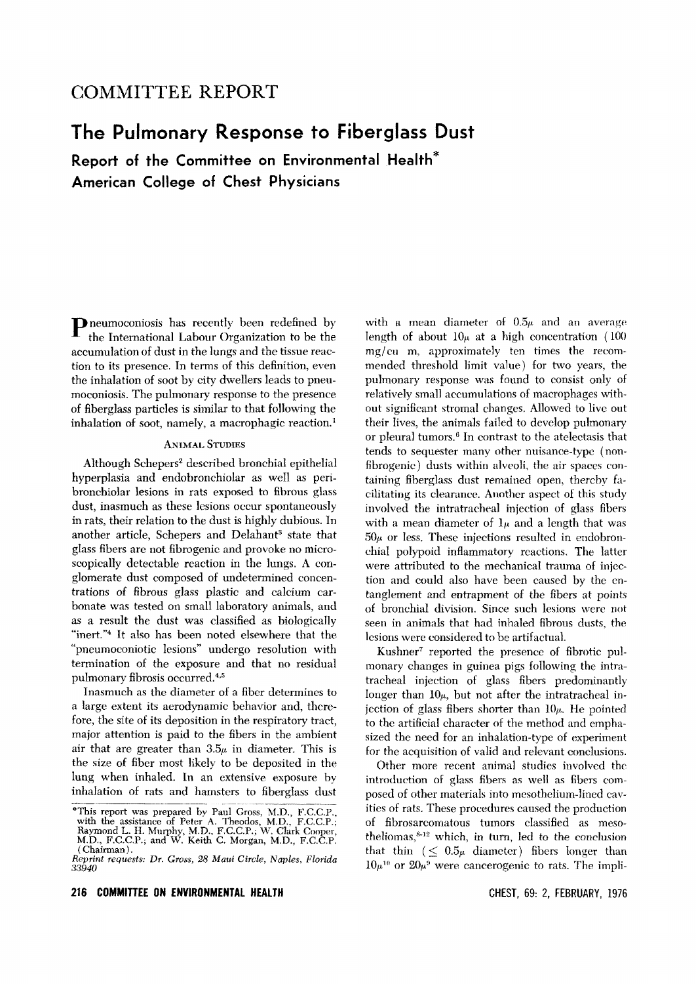## **COMMITTEE REPORT**

# **The Pulmonary Response to Fiberglass Dust**

**Report of the Committee on Environmental Health\* American College of Chest Physicians**

Pneumoconiosis has recently been redefined by the International Labour Organization to be the accumulation of dust in the lungs and the tissue reaction to its presence. In terms of this definition, even the inhalation of soot by city dwellers leads to pneumoconiosis. The pulmonary response to the presence of fiberglass particles is similar to that following the inhalation of soot, namely, a macrophagic reaction.<sup>1</sup>

#### **ANIMAL STUDIES**

Although Schepers? described bronchial epithelial hyperplasia and endobronchiolar as well as peribronchiolar lesions in rats exposed to fibrous glass dust, inasmuch as these lesions occur spontaneously in rats, their relation to the dust is highly dubious. In another article, Schepers and Delahant<sup>3</sup> state that glass fibers are not fibrogenic and provoke no microscopically detectable reaction in the lungs. A conglomerate dust composed of undetermined concentrations of fibrous glass plastic and calcium carbonate was tested on small laboratory animals, and as a result the dust was classified as biologically "inert."<sup>4</sup> It also has been noted elsewhere that the "pneumoconiotic lesions" undergo resolution with termination of the exposure and that no residual pulmonary fibrosis occurred.<sup>4,5</sup>

Inasmuch as the diameter of a fiber determines to a large extent its aerodynamic behavior and, therefore, the site of its deposition in the respiratory tract, major attention is paid to the fibers in the ambient air that are greater than  $3.5\mu$  in diameter. This is the size of fiber most likely to be deposited in the lung when inhaled. In an extensive exposure by inhalation of rats and hamsters to fiberglass dust

with a mean diameter of  $0.5\mu$  and an average length of about  $10\mu$  at a high concentration (100)  $mg/cu$  m, approximately ten times the recommended threshold limit value) for two years, the pulmonary response was found to consist only of relatively small accumulations of macrophages without significant stromal changes. Allowed to live out their lives, the animals failed to develop pulmonary or pleural tumors.<sup>6</sup> In contrast to the atelectasis that tends to sequester many other nuisance-type (nonfibrogenic) dusts within alveoli, the air spaces containing fiberglass dust remained open, thereby facilitating its clearance. Another aspect of this study involved the intratracheal injection of glass fibers with a mean diameter of  $l<sub>\mu</sub>$  and a length that was  $50\mu$  or less. These injections resulted in endobronchial polypoid inflammatory reactions. The latter were attributed to the mechanical trauma of injection and could also have been caused by the entanglement and entrapment of the fibers at points of bronchial division. Since such lesions were not seen in animals that had inhaled fibrous dusts, the lesions were considered to be artifactual.

Kushner? reported the presence of fibrotic pulmonary changes in guinea pigs following the intratracheal injection of glass fibers predominantly longer than  $10\mu$ , but not after the intratracheal injection of glass fibers shorter than  $10\mu$ . He pointed to the artificial character of the method and emphasized the need for an inhalation-type of experiment for the acquisition of valid and relevant conclusions.

Other more recent animal studies involved the introduction of glass fibers as well as fibers composed of other materials into mesothelium-lined cavities of rats. These procedures caused the production of fibrosarcomatous tumors classified as mesotheliomas, $8-12$  which, in turn, led to the conclusion that thin  $(\leq 0.5\mu)$  diameter) fibers longer than  $10\mu^{10}$  or  $20\mu^{9}$  were cancerogenic to rats. The impli-

<sup>&</sup>quot;This report was prepared by Paul Gross, M.D., F.C.C.P., with the assistance of Peter A. Theodos, M.D., F.GC.P.; Raymond L. H. Murphy, M.D.. F.C.GP.; W. Clark Cooper, M.D., F.C.GP.; and W. Keith C. Morgan, M.D., F.C.GP. (Chairman).

*Reprint requests: Dr. Gross,* 28 *Maui Circle, Naples, Florida 33940*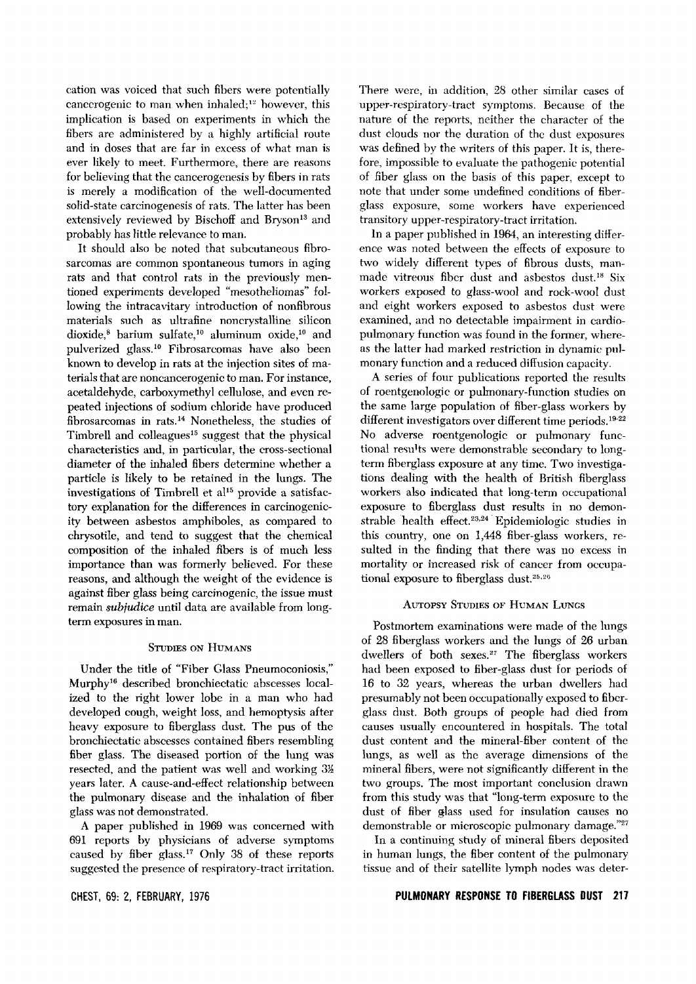cation was voiced that such fibers were potentially cancerogenic to man when inhaled;<sup>12</sup> however, this implication is based on experiments in which the fibers are administered by a highly artificial route and in doses that are far in excess of what man is ever likely to meet. Furthermore, there are reasons for believing that the cancerogenesis by fibers in rats is merely a modification of the well-documented solid-state carcinogenesis of rats. The latter has been extensively reviewed by Bischoff and Bryson<sup>13</sup> and probably has little relevance to man.

It should also be noted that subcutaneous fibrosarcomas are common spontaneous tumors in aging rats and that control rats in the previously mentioned experiments developed "mesotheliomas" following the intracavitary introduction of nonfibrous materials such as ultrafine noncrystalline silicon dioxide,<sup>8</sup> barium sulfate,<sup>10</sup> aluminum oxide,<sup>10</sup> and pulverized glass.<sup>10</sup> Fibrosarcomas have also been known to develop in rats at the injection sites of materials that are noncancerogenic to man. For instance, acetaldehyde, carboxymethyl cellulose, and even repeated injections of sodium chloride have produced fibrosarcomas in rats.<sup>14</sup> Nonetheless, the studies of Timbrell and colleagues<sup>15</sup> suggest that the physical characteristics and, in particular, the cross-sectional diameter of the inhaled fibers determine whether a particle is likely to be retained in the lungs. The investigations of Timbrell et  $al<sup>15</sup>$  provide a satisfactory explanation for the differences in carcinogenicity between asbestos amphiboles, as compared to chrysotilc, and tend to suggest that the chemical composition of the inhaled fibers is of much less importance than was formerly believed. For these reasons, and although the weight of the evidence is against fiber glass being carcinogenic, the issue must remain *subiudice* until data are available from longterm exposures in man.

#### STUDIES ON HUMANS

Under the title of "Fiber Glass Pneumoconiosis," Murphy!" described bronchiectatic abscesses localized to the right lower lobe in a man who had developed cough, weight loss, and hemoptysis after heavy exposure to fiberglass dust. The pus of the bronchiectatic abscesses contained fibers resembling fiber glass. The diseased portion of the lung was resected, and the patient was well and working  $3\frac{1}{2}$ years later. A cause-and-effect relationship between the pulmonary disease and the inhalation of fiber glass was not demonstrated.

A paper published in 1969 was concerned with 691 reports by physicians of adverse symptoms caused by fiber glass."? Only 38 of these reports suggested the presence of respiratory-tract irritation.

CHEST, 69: 2, FEBRUARY, 1976

There were, in addition, 28 other similar cases of upper-respiratory-tract symptoms. Because of the nature of the reports, neither the character of the dust clouds nor the duration of the dust exposures was defined by the writers of this paper. It is, therefore, impossible to evaluate the pathogenic potential of fiber glass on the basis of this paper, except to note that under some undefined conditions of fiberglass exposure, some workers have experienced transitory upper-respiratory-tract irritation.

In a paper published in 1964, an interesting difference was noted between the effects of exposure to two widely different types of fibrous dusts, manmade vitreous fiber dust and asbestos dust.<sup>18</sup> Six workers exposed to glass-wool and rock-wool dust and eight workers exposed to asbestos dust were examined, and no detectable impairment in cardiopulmonary function was found in the former, whereas the latter had marked restriction in dynamic pulmonary function and a reduced diffusion capacity.

A series of four publications reported the results of roentgenologic or puhnonary-function studies on the same large population of fiber-glass workers by different investigators over different time periods.<sup>19-22</sup> No adverse roentgenologic or pulmonary functional results were demonstrable secondary to longterm fiberglass exposure at any time. Two investigations dealing with the health of British fiberglass workers also indicated that long-term occupational exposure to fiberglass dust results in no demonstrable health effect.<sup>23,24</sup> Epidemiologic studies in this country, one on 1,448 fiber-glass workers, resulted in the finding that there was no excess in mortality or increased risk of cancer from occupational exposure to fiberglass dust.<sup>25,26</sup>

#### AUTOPSY STUDIES OF HUMAN LUNGS

Postmortem examinations were made of the lungs of 28 fiberglass workers and the lungs of 26 urban dwellers of both sexes.<sup>27</sup> The fiberglass workers had been exposed to fiber-glass dust for periods of 16 to 32 years, whereas the urban dwellers had presumably not been occupationally exposed to fiberglass dust. Both groups of people had died from causes usually encountered in hospitals. The total dust content and the mineral-fiber content of the lungs, as well as the average dimensions of the mineral fibers, were not significantly different in the two groups. The most important conclusion drawn from this study was that "long-term exposure to the dust of fiber glass used for insulation causes no demonstrable or microscopic pulmonary damage."27

In a continuing study of mineral fibers deposited in human lungs, the fiber content of the pulmonary tissue and of their satellite lymph nodes was deter-

#### **PULMONARY RESPONSE TO FIBERGLASS OUST 211**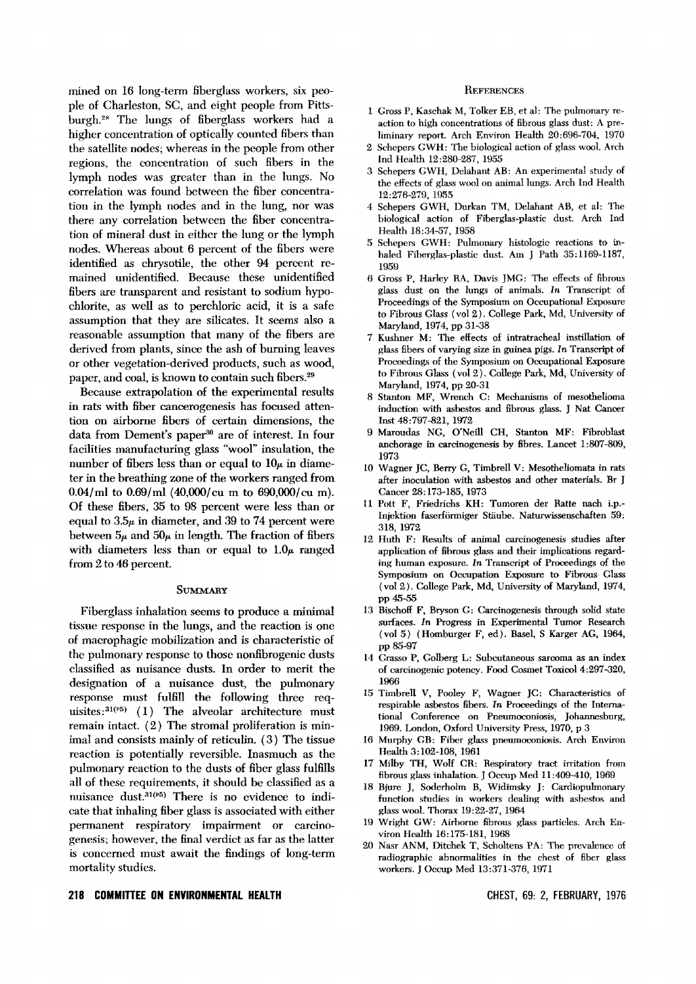mined on 16 long-term fiberglass workers, six people of Charleston, SC, and eight people from Pittsburgh.<sup>28</sup> The lungs of fiberglass workers had a higher concentration of optically counted fibers than the satellite nodes; whereas in the people from other regions, the concentration of such fibers in the lymph nodes was greater than in the lungs. No correlation was found between the fiber concentration in the lymph nodes and in the lung, nor was there any correlation between the fiber concentration of mineral dust in either the lung or the lymph nodes. Whereas about 6 percent of the fibers were identified as chrysotile, the other 94 percent remained unidentified. Because these unidentified fibers are transparent and resistant to sodium hypochlorite, as well as to perchloric acid, it is a safe assumption that they are silicates. It seems also a reasonable assumption that many of the fibers are derived from plants, since the ash of burning leaves or other vegetation-derived products, such as wood, paper, and coal, is known to contain such fibers.<sup>29</sup>

Because extrapolation of the experimental results in rats with fiber cancerogenesis has focused attention on airborne fibers of certain dimensions, the data from Dement's paper<sup>30</sup> are of interest. In four facilities manufacturing glass "wool" insulation, the number of fibers less than or equal to  $10\mu$  in diameter in the breathing zone of the workers ranged from O.04/ml to O.69/ml (4O,000/cu m to 690,000/cu m). Of these fibers, 35 to 98 percent were less than or equal to  $3.5\mu$  in diameter, and 39 to 74 percent were between  $5\mu$  and  $50\mu$  in length. The fraction of fibers with diameters less than or equal to  $1.0\mu$  ranged from 2 to 46 percent.

#### **SUMMARY**

Fiberglass inhalation seems to produce a minimal tissue response in the lungs, and the reaction is one of macrophagic mobilization and is characteristic of the pulmonary response to those nonfibrogenic dusts classified as nuisance dusts. In order to merit the designation of a nuisance dust, the pulmonary response must fulfill the following three requisites: $31(^{5})$  (1) The alveolar architecture must remain intact. (2) The stromal proliferation is minimal and consists mainly of reticulin. (3) The tissue reaction is potentially reversible. Inasmuch as the pulmonary reaction to the dusts of fiber glass fulfills all of these requirements, it should be classified as a nuisance dust.<sup>31(p5)</sup> There is no evidence to indicate that inhaling fiber glass is associated with either permanent respiratory impairment or carcinogenesis; however, the final verdict as far as the latter is concerned must await the findings of long-term mortality studies.

#### **REFERENCES**

- 1 Gross P, Kaschak M, Tolker EB, et al: The pulmonary reaction to high concentrations of fibrous glass dust: A preliminary report. Arch Environ Health 20:696-704, 1970
- 2 Schepers GWH: The biological action of glass wooL Arch Ind Health 12:280-287, 1955
- 3 Schepers GWH, Delahant AB: An experimental study of the effects of glass wool on animal lungs. Arch Ind Health 12:276-279, 1955
- 4 Schepers GWH, Durkan TM, Delahant AB, et al: The biological action of Fiberglas-plastic dust. Arch Ind Health 18:34-57, 1958
- 5 Schepers GWH: Pulmonary histologic reactions to inhaled Fiberglas-plastic dust. Am J Path 35:1169-1187, 1959
- 6 Gross P, Harley RA, Davis JMG: The effects of fibrous glass dust on the lungs of animals. *In* Transcript of Proceedings of the Symposium on Occupational Exposure to Fibrous Glass (vol 2). College Park, Md, University of Maryland, 1974, pp 31-38
- 7 Kushner M: TIle effects of intratracheal instillation of glass fibers of varying size in guinea pigs. *In* Transcript of Proceedings of the Symposium on Occupational Exposure to Fibrous Glass (vol 2). College Park, Md, University of Maryland, 1974, pp 20-31
- 8 Stanton MF, Wrench C: Mechanisms of mesothelioma induction with asbestos and fibrous glass. J Nat Cancer Inst 48:797-821,1972
- 9 Maroudas NG, O'Neill CH, Stanton MF: Fibroblast anchorage in carcinogenesis by fibres. Lancet 1:807-809, 1973
- 10 Wagner JC, Berry G, Timbrell V: Mesotheliomata in rats after inoculation with asbestos and other materials. Br J Cancer 28: 173-185, 1973
- 11 Pott F, Friedrichs KH: Tumoren der Ratte nach i.p.- Injektion faserformiger Staube. Naturwissenschaften 59: 318, 1972
- 12 Huth F: Results of animal carcinogenesis studies after application of fibrous glass and their implications regarding human exposure. *In* Transcript of Proceedings of the Symposium on Occupation Exposure to Fibrous Glass (vol 2). College Park, Md, University of Maryland, 1974, pp 45-55
- 13 Bischoff F, Bryson G: Carcinogenesis through solid state surfaces. In Progress in Experimental Tumor Research (vol 5) (Homburger F, ed). Basel, S Karger AG, 1964, pp 85-97
- 14 Grasso P, Golberg L: Subcutaneous sarcoma as an index of carcinogenic potency. Food Cosmet ToxicoI4:297-320, 1966
- 15 Timbrell V, Pooley F, Wagner JC: Characteristics of respirable asbestos fibers. *In* Proceedings of the International Conference on Pneumoconiosis, Johannesburg, 1969. London, Oxford University Press, 1970, p 3
- 16 Murphy GB: Fiber glass pneumoconiosis. Arch Environ Health 3:102-108,1961
- 17 Milby TH, Wolf CR: Respiratory tract irritation from fibrous glass inhalation. J Occup Med 11:409-410, 1969
- 18 Bjure J, Soderholm B, Widirnsky J: Cardiopulmonary function studies in workers dealing with asbestos and glass wool. Thorax 19:22-27, 1964
- 19 Wright GW: Airborne fibrous glass particles. Arch Environ Health 16:175-181, 1968
- 20 Nasr ANM, Ditchek T, Scholtens PA: The prevalence of radiographic abnormalities in the chest of fiber glass workers. J Occup Med 13:371-376, 1971

#### **218 COMMITTEE ON ENVIRONMENTAL HEALTH**

CHEST, 69: 2, FEBRUARY, 1976